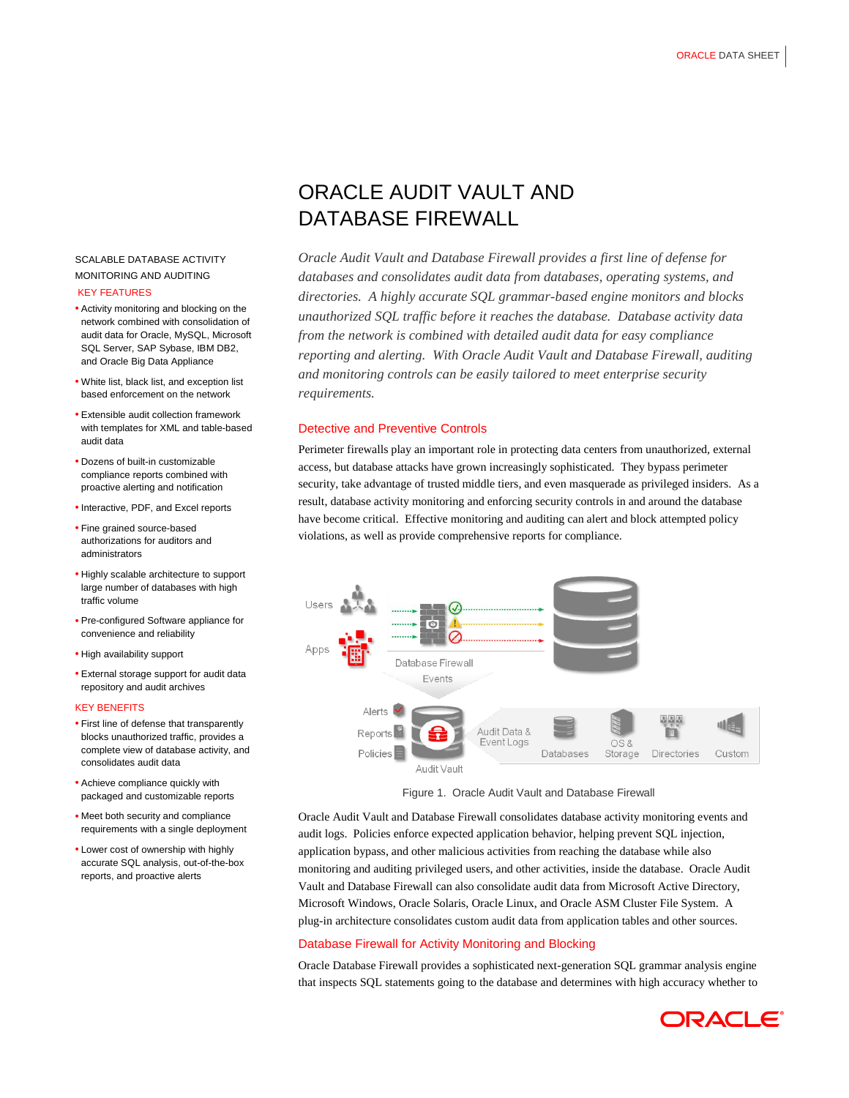# SCALABLE DATABASE ACTIVITY MONITORING AND AUDITING KEY FEATURES

- Activity monitoring and blocking on the network combined with consolidation of audit data for Oracle, MySQL, Microsoft SQL Server, SAP Sybase, IBM DB2, and Oracle Big Data Appliance
- White list, black list, and exception list based enforcement on the network
- Extensible audit collection framework with templates for XML and table-based audit data
- Dozens of built-in customizable compliance reports combined with proactive alerting and notification
- Interactive, PDF, and Excel reports
- Fine grained source-based authorizations for auditors and administrators
- Highly scalable architecture to support large number of databases with high traffic volume
- Pre-configured Software appliance for convenience and reliability
- High availability support
- External storage support for audit data repository and audit archives

#### KEY BENEFITS

- First line of defense that transparently blocks unauthorized traffic, provides a complete view of database activity, and consolidates audit data
- Achieve compliance quickly with packaged and customizable reports
- Meet both security and compliance requirements with a single deployment
- Lower cost of ownership with highly accurate SQL analysis, out-of-the-box reports, and proactive alerts

# ORACLE AUDIT VAULT AND DATABASE FIREWALL

*Oracle Audit Vault and Database Firewall provides a first line of defense for databases and consolidates audit data from databases, operating systems, and directories. A highly accurate SQL grammar-based engine monitors and blocks unauthorized SQL traffic before it reaches the database. Database activity data from the network is combined with detailed audit data for easy compliance reporting and alerting. With Oracle Audit Vault and Database Firewall, auditing and monitoring controls can be easily tailored to meet enterprise security requirements.*

## Detective and Preventive Controls

Perimeter firewalls play an important role in protecting data centers from unauthorized, external access, but database attacks have grown increasingly sophisticated. They bypass perimeter security, take advantage of trusted middle tiers, and even masquerade as privileged insiders. As a result, database activity monitoring and enforcing security controls in and around the database have become critical. Effective monitoring and auditing can alert and block attempted policy violations, as well as provide comprehensive reports for compliance.



Figure 1. Oracle Audit Vault and Database Firewall

Oracle Audit Vault and Database Firewall consolidates database activity monitoring events and audit logs. Policies enforce expected application behavior, helping prevent SQL injection, application bypass, and other malicious activities from reaching the database while also monitoring and auditing privileged users, and other activities, inside the database. Oracle Audit Vault and Database Firewall can also consolidate audit data from Microsoft Active Directory, Microsoft Windows, Oracle Solaris, Oracle Linux, and Oracle ASM Cluster File System. A plug-in architecture consolidates custom audit data from application tables and other sources.

## Database Firewall for Activity Monitoring and Blocking

Oracle Database Firewall provides a sophisticated next-generation SQL grammar analysis engine that inspects SQL statements going to the database and determines with high accuracy whether to